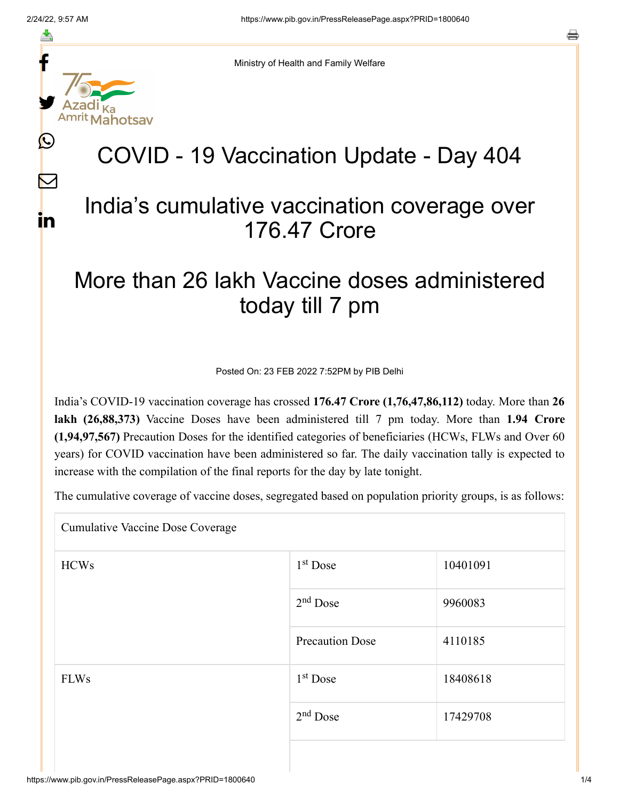f

≛

y.

 $\bm{\mathbb{C}}$ 

 $\sum$ 

in

Ministry of Health and Family Welfare

# COVID - 19 Vaccination Update - Day 404

### India's cumulative vaccination coverage over 176.47 Crore

## More than 26 lakh Vaccine doses administered today till 7 pm

Posted On: 23 FEB 2022 7:52PM by PIB Delhi

India's COVID-19 vaccination coverage has crossed **176.47 Crore (1,76,47,86,112)** today. More than **26 lakh (26,88,373)** Vaccine Doses have been administered till 7 pm today. More than **1.94 Crore (1,94,97,567)** Precaution Doses for the identified categories of beneficiaries (HCWs, FLWs and Over 60 years) for COVID vaccination have been administered so far. The daily vaccination tally is expected to increase with the compilation of the final reports for the day by late tonight.

The cumulative coverage of vaccine doses, segregated based on population priority groups, is as follows:

Cumulative Vaccine Dose Coverage

| <b>HCWs</b> | $1st$ Dose             | 10401091 |
|-------------|------------------------|----------|
|             | $2nd$ Dose             | 9960083  |
|             | <b>Precaution Dose</b> | 4110185  |
| <b>FLWs</b> | $1st$ Dose             | 18408618 |
|             | $2nd$ Dose             | 17429708 |
|             |                        |          |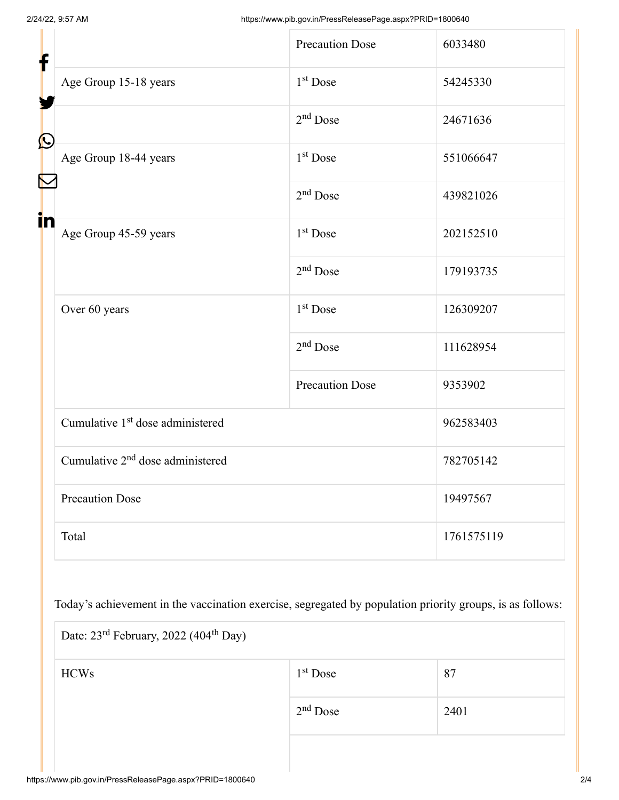| f            |                                              | <b>Precaution Dose</b> | 6033480    |  |
|--------------|----------------------------------------------|------------------------|------------|--|
|              | Age Group 15-18 years                        | 1 <sup>st</sup> Dose   | 54245330   |  |
| $\bf \Omega$ |                                              | $2nd$ Dose             | 24671636   |  |
|              | Age Group 18-44 years                        | 1 <sup>st</sup> Dose   | 551066647  |  |
|              |                                              | $2nd$ Dose             | 439821026  |  |
| in           | Age Group 45-59 years                        | $1st$ Dose             | 202152510  |  |
|              |                                              | $2nd$ Dose             | 179193735  |  |
|              | Over 60 years                                | 1 <sup>st</sup> Dose   | 126309207  |  |
|              |                                              | $2nd$ Dose             | 111628954  |  |
|              |                                              | <b>Precaution Dose</b> | 9353902    |  |
|              | Cumulative 1 <sup>st</sup> dose administered |                        | 962583403  |  |
|              | Cumulative 2 <sup>nd</sup> dose administered |                        | 782705142  |  |
|              | <b>Precaution Dose</b>                       |                        | 19497567   |  |
|              | Total                                        |                        | 1761575119 |  |

Today's achievement in the vaccination exercise, segregated by population priority groups, is as follows:

| Date: 23 <sup>rd</sup> February, 2022 (404 <sup>th</sup> Day) |            |      |  |
|---------------------------------------------------------------|------------|------|--|
| <b>HCWs</b>                                                   | $1st$ Dose | 87   |  |
|                                                               | $2nd$ Dose | 2401 |  |
|                                                               |            |      |  |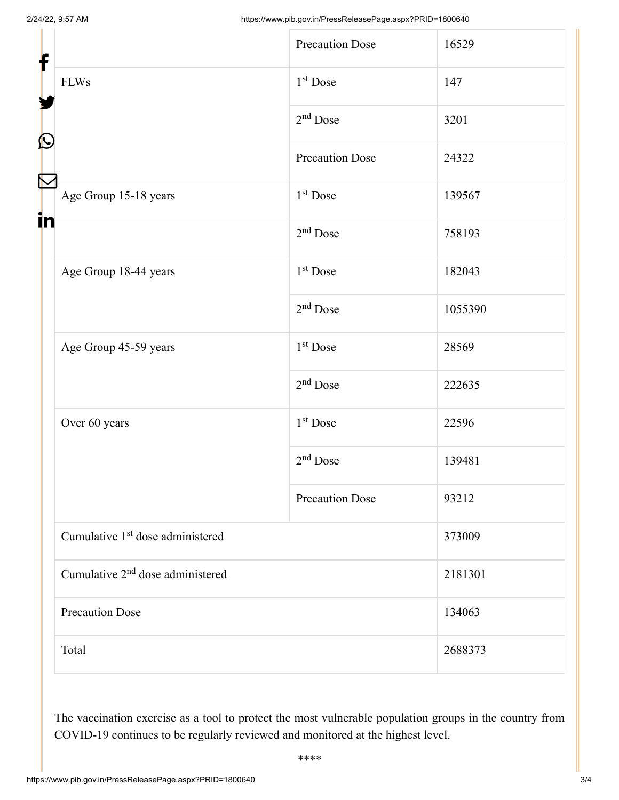| f                 |                                              | <b>Precaution Dose</b> | 16529   |
|-------------------|----------------------------------------------|------------------------|---------|
|                   | <b>FLWs</b>                                  | 1 <sup>st</sup> Dose   | 147     |
|                   |                                              | $2nd$ Dose             | 3201    |
| $\mathbf{\Omega}$ |                                              | <b>Precaution Dose</b> | 24322   |
|                   | Age Group 15-18 years                        | $1st$ Dose             | 139567  |
| in                |                                              | $2nd$ Dose             | 758193  |
|                   | Age Group 18-44 years                        | $1st$ Dose             | 182043  |
|                   |                                              | $2nd$ Dose             | 1055390 |
|                   | Age Group 45-59 years                        | 1 <sup>st</sup> Dose   | 28569   |
|                   |                                              | $2nd$ Dose             | 222635  |
|                   | Over 60 years                                | 1 <sup>st</sup> Dose   | 22596   |
|                   |                                              | $2nd$ Dose             | 139481  |
|                   |                                              | <b>Precaution Dose</b> | 93212   |
|                   | Cumulative 1 <sup>st</sup> dose administered |                        | 373009  |
|                   | Cumulative 2 <sup>nd</sup> dose administered |                        | 2181301 |
|                   | <b>Precaution Dose</b>                       |                        | 134063  |
|                   | Total                                        |                        | 2688373 |

The vaccination exercise as a tool to protect the most vulnerable population groups in the country from COVID-19 continues to be regularly reviewed and monitored at the highest level.